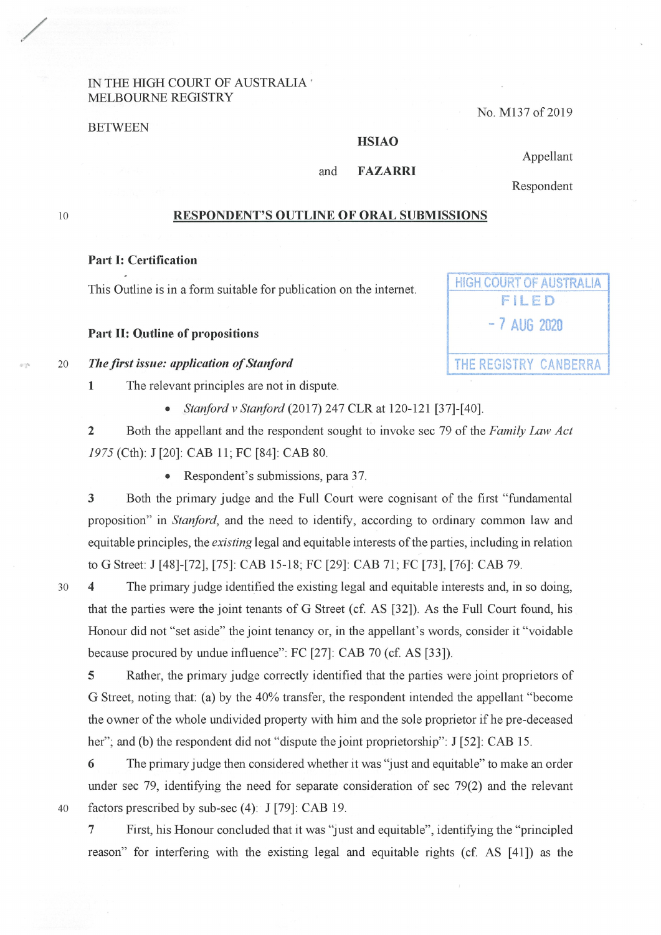### IN THE HIGH COURT OF AUSTRALIA · :MELBOURNE REGISTRY

BETWEEN

#### No. M137 of 2019

**HIGH COURT OF AUSTRALIA FILED** 

- 7 AUG 2020

## **HSIAO**

#### and **FAZARRI**

Appellant Respondent

10

 $\mathcal{C}^{\infty}_{\mathcal{C}}$ 

/

### **RESPONDENT'S OUTLINE OF ORAL SUBMISSIONS**

#### **Part** I: **Certification**

This Outline is in a form suitable for publication on the internet.

#### **Part** II: **Outline of propositions**

#### <sup>20</sup>*The first issue: application of Stanford* THE REGISTRY CANBERRA

- **1** The relevant principles are not in dispute.
	- *Stanford v Stanford* (2017) 247 CLR at 120-121 [37]-[40].

**2** Both the appellant and the respondent sought to invoke sec 79 of the *Family* Law *Act 1975* (Cth): J [20]: CAB 11 ; FC [84]: CAB 80.

• Respondent's submissions, para 37.

**3** Both the primary judge and the Full Court were cognisant of the first "fundamental proposition" in *Stanford,* and the need to identify, according to ordinary common law and equitable principles, the *existing* legal and equitable interests of the parties, including in relation to G Street: J [48]-[72], [75]: CAB 15-18; FC [29]: CAB 71 ; FC [73], [76]: CAB 79.

30 **4** The primary judge identified the existing legal and equitable interests and, in so doing, that the parties were the joint tenants of G Street (cf. AS [32]). As the Full Court found, his Honour did not "set aside" the joint tenancy or, in the appellant's words, consider it "voidable because procured by undue influence": FC [27]: CAB 70 (cf. AS [33]).

**5** Rather, the primary judge correctly identified that the parties were joint proprietors of G Street, noting that: (a) by the 40% transfer, the respondent intended the appellant "become the owner of the whole undivided property with him and the sole proprietor if he pre-deceased her"; and (b) the respondent did not "dispute the joint proprietorship": J [52]: CAB 15.

**6** The primary judge then considered whether it was "just and equitable" to make an order under sec 79, identifying the need for separate consideration of sec 79(2) and the relevant 40 factors prescribed by sub-sec (4): J [79]: CAB 19.

7 First, his Honour concluded that it was "just and equitable", identifying the "principled reason" for interfering with the existing legal and equitable rights (cf. AS [41]) as the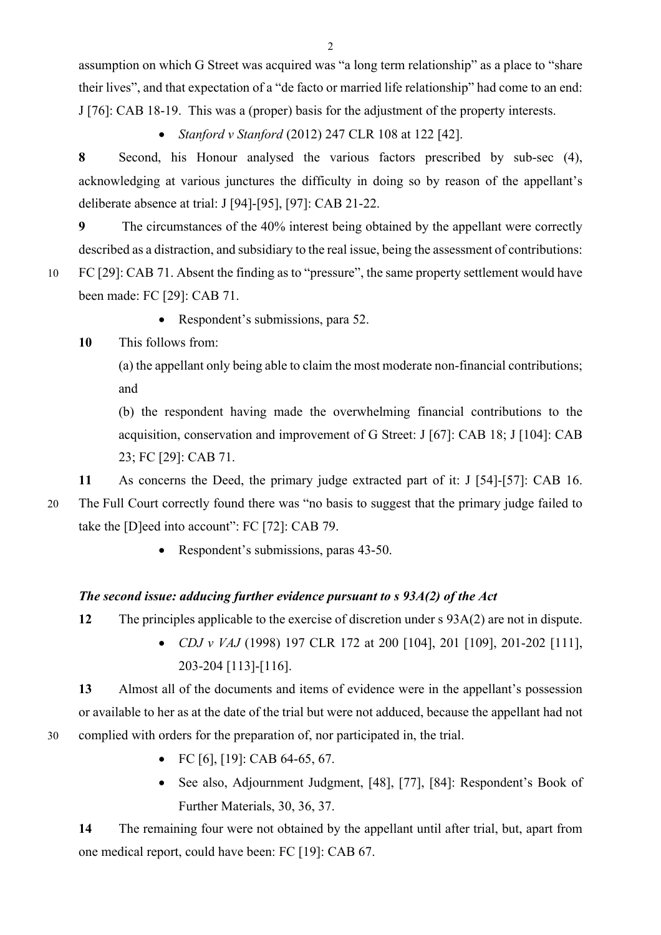assumption on which G Street was acquired was "a long term relationship" as a place to "share their lives", and that expectation of a "de facto or married life relationship" had come to an end: J [76]: CAB 18-19. This was a (proper) basis for the adjustment of the property interests.

• *Stanford v Stanford* (2012) 247 CLR 108 at 122 [42].

**8** Second, his Honour analysed the various factors prescribed by sub-sec (4), acknowledging at various junctures the difficulty in doing so by reason of the appellant's deliberate absence at trial: J [94]-[95], [97]: CAB 21-22.

**9** The circumstances of the 40% interest being obtained by the appellant were correctly described as a distraction, and subsidiary to the real issue, being the assessment of contributions: 10 FC [29]: CAB 71. Absent the finding as to "pressure", the same property settlement would have been made: FC [29]: CAB 71.

• Respondent's submissions, para 52.

## **10** This follows from:

(a) the appellant only being able to claim the most moderate non-financial contributions; and

(b) the respondent having made the overwhelming financial contributions to the acquisition, conservation and improvement of G Street: J [67]: CAB 18; J [104]: CAB 23; FC [29]: CAB 71.

**11** As concerns the Deed, the primary judge extracted part of it: J [54]-[57]: CAB 16.

20 The Full Court correctly found there was "no basis to suggest that the primary judge failed to

take the [D]eed into account": FC [72]: CAB 79.

• Respondent's submissions, paras 43-50.

# *The second issue: adducing further evidence pursuant to s 93A(2) of the Act*

**12** The principles applicable to the exercise of discretion under s 93A(2) are not in dispute.

• *CDJ v VAJ* (1998) 197 CLR 172 at 200 [104], 201 [109], 201-202 [111], 203-204 [113]-[116].

**13** Almost all of the documents and items of evidence were in the appellant's possession or available to her as at the date of the trial but were not adduced, because the appellant had not 30 complied with orders for the preparation of, nor participated in, the trial.

- FC [6], [19]: CAB 64-65, 67.
- See also, Adjournment Judgment, [48], [77], [84]: Respondent's Book of Further Materials, 30, 36, 37.

**14** The remaining four were not obtained by the appellant until after trial, but, apart from one medical report, could have been: FC [19]: CAB 67.

 $\overline{2}$